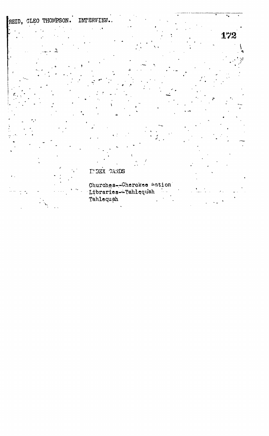## REID, CLEO THOMPSON. INTERVIEW.

 $\ddot{\phantom{0}}$ 

INDEX CARDS

Churches--Cherokee Wation Libraries-Tahlequah - 1. 2 Tahlequah

 $\overline{\cdot}$ 

172

ţ